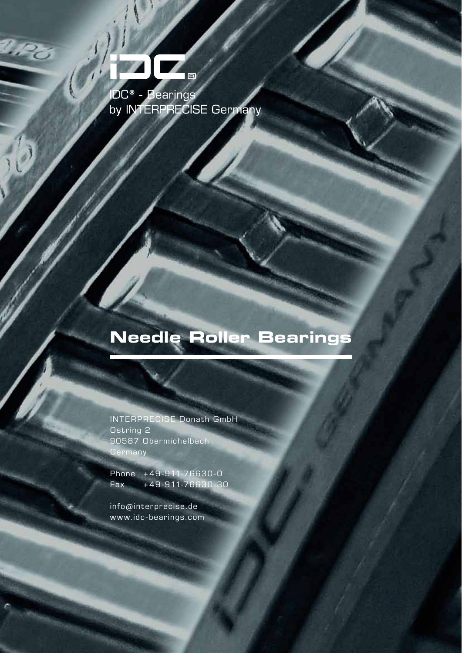

l Po

# **Needle Roller Bearings**

INTERPRECISE Donath GmbH Ostring 2 90587 Obermichelbach **Germany** 

Phone +49-911-76630-0 Fax +49-911-76630-30

info@interprecise.de www.idc-bearings.com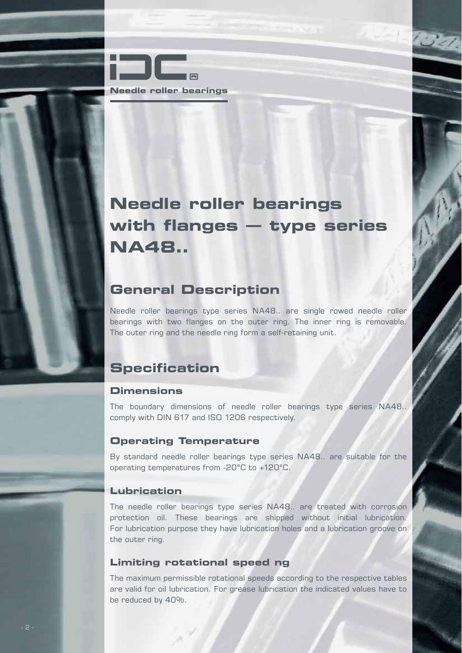

# **Needle roller bearings with flanges – type series NA48..**

### **General Description**

Needle roller bearings type series NA48.. are single rowed needle roller bearings with two flanges on the outer ring. The inner ring is removable. The outer ring and the needle ring form a self-retaining unit.

## **Specification**

#### **Dimensions**

The boundary dimensions of needle roller bearings type series NA48.. comply with DIN 617 and ISO 1206 respectively.

#### **Operating Temperature**

By standard needle roller bearings type series NA48.. are suitable for the operating temperatures from -20°C to +120°C.

#### **Lubrication**

The needle roller bearings type series NA48.. are treated with corrosion protection oil. These bearings are shipped without initial lubrication. For lubrication purpose they have lubrication holes and a lubrication groove on the outer ring.

#### **Limiting rotational speed ng**

The maximum permissible rotational speeds according to the respective tables are valid for oil lubrication. For grease lubrication the indicated values have to be reduced by 40%.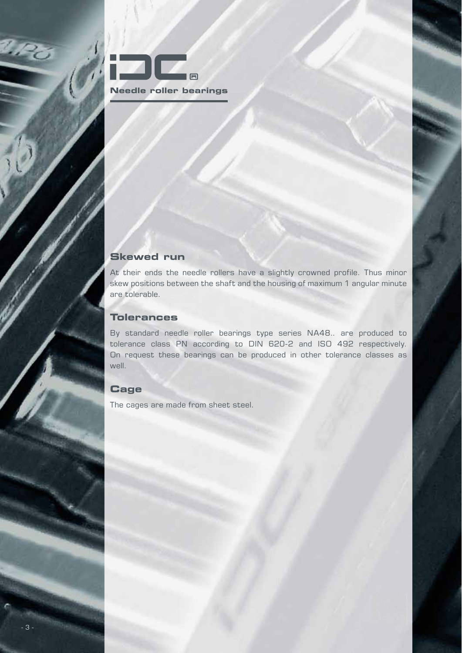

#### **Skewed run**

At their ends the needle rollers have a slightly crowned profile. Thus minor skew positions between the shaft and the housing of maximum 1 angular minute are tolerable.

#### **Tolerances**

By standard needle roller bearings type series NA48.. are produced to tolerance class PN according to DIN 620-2 and ISO 492 respectively. On request these bearings can be produced in other tolerance classes as well.

#### **Cage**

The cages are made from sheet steel.

 $v_{P_O}$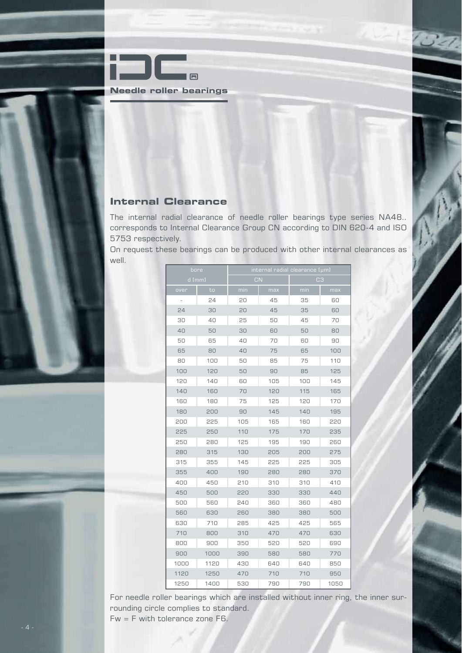

#### **Internal Clearance**

The internal radial clearance of needle roller bearings type series NA48.. corresponds to Internal Clearance Group CN according to DIN 620-4 and ISO 5753 respectively.

On request these bearings can be produced with other internal clearances as well.

| bore |          | internal radial clearance [µm] |           |                |      |  |  |  |
|------|----------|--------------------------------|-----------|----------------|------|--|--|--|
|      | $d$ [mm] |                                | <b>CN</b> | C <sub>3</sub> |      |  |  |  |
| over | to       | min                            | max       | min            | max  |  |  |  |
| ÷    | 24       | 20                             | 45        | 35             | 60   |  |  |  |
| 24   | 30       | 20                             | 45        | 35             | 60   |  |  |  |
| 30   | 40       | 25                             | 50        | 45             | 70   |  |  |  |
| 40   | 50       | 30                             | 60        | 50             | 80   |  |  |  |
| 50   | 65       | 40                             | 70        | 60             | 90   |  |  |  |
| 65   | 80       | 40                             | 75        | 65             | 100  |  |  |  |
| 80   | 100      | 50                             | 85        |                | 110  |  |  |  |
| 100  | 120      | 50                             | 90        | 85             | 125  |  |  |  |
| 120  | 140      | 60                             | 105       | 100            | 145  |  |  |  |
| 140  | 160      | 70                             | 120       | 115            | 165  |  |  |  |
| 160  | 180      | 75                             | 125       | 120            | 170  |  |  |  |
| 180  | 200      | 90                             | 145       | 140            | 195  |  |  |  |
| 200  | 225      | 105                            | 165       | 160            | 220  |  |  |  |
| 225  | 250      | 110                            | 175       | 170            | 235  |  |  |  |
| 250  | 280      | 125                            | 195       | 190            | 260  |  |  |  |
| 280  | 315      | 130                            | 205       | 200            | 275  |  |  |  |
| 315  | 355      | 145                            | 225       | 225            | 305  |  |  |  |
| 355  | 400      | 190                            | 280       | 280            | 370  |  |  |  |
| 400  | 450      | 210                            | 310       | 310            | 410  |  |  |  |
| 450  | 500      | 220                            | 330       | 330            | 440  |  |  |  |
| 500  | 560      | 240                            | 360       | 360            | 480  |  |  |  |
| 560  | 630      | 260                            | 380       | 380            | 500  |  |  |  |
| 630  | 710      | 285                            | 425       | 425            | 565  |  |  |  |
| 710  | 800      | 310                            | 470       | 470            | 630  |  |  |  |
| 800  | 900      | 350                            | 520       | 520            | 690  |  |  |  |
| 900  | 1000     | 390                            | 580       | 580            | 770  |  |  |  |
| 1000 | 1120     | 430                            | 640       | 640            | 850  |  |  |  |
| 1120 | 1250     | 470                            | 710       | 710            | 950  |  |  |  |
| 1250 | 1400     | 530                            | 790       | 790            | 1050 |  |  |  |

For needle roller bearings which are installed without inner ring, the inner surrounding circle complies to standard. Fw = F with tolerance zone F6.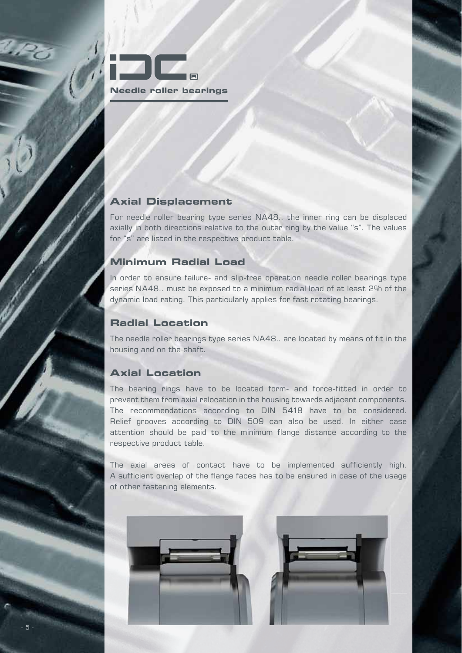

#### **Axial Displacement**

For needle roller bearing type series NA48.. the inner ring can be displaced axially in both directions relative to the outer ring by the value "s". The values for "s" are listed in the respective product table.

#### **Minimum Radial Load**

In order to ensure failure- and slip-free operation needle roller bearings type series NA48.. must be exposed to a minimum radial load of at least 2% of the dynamic load rating. This particularly applies for fast rotating bearings.

### **Radial Location**

The needle roller bearings type series NA48.. are located by means of fit in the housing and on the shaft.

#### **Axial Location**

The bearing rings have to be located form- and force-fitted in order to prevent them from axial relocation in the housing towards adjacent components. The recommendations according to DIN 5418 have to be considered. Relief grooves according to DIN 509 can also be used. In either case attention should be paid to the minimum flange distance according to the respective product table.

The axial areas of contact have to be implemented sufficiently high. A sufficient overlap of the flange faces has to be ensured in case of the usage of other fastening elements.

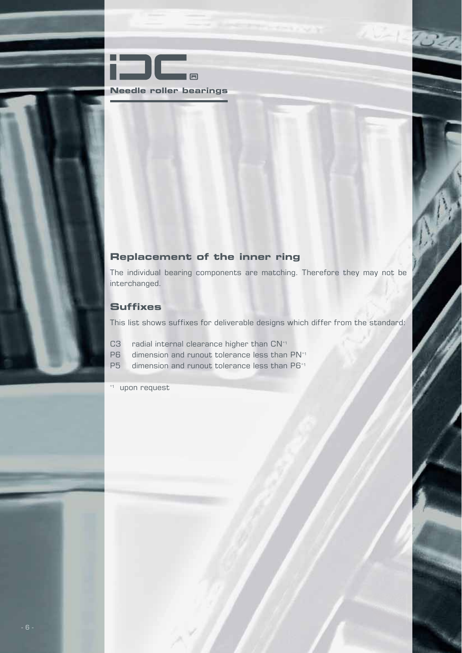

#### **Replacement of the inner ring**

The individual bearing components are matching. Therefore they may not be interchanged.

#### **Suffixes**

This list shows suffixes for deliverable designs which differ from the standard:

- C3 radial internal clearance higher than CN<sup>\*1</sup>
- P6 dimension and runout tolerance less than PN<sup>\*1</sup>
- P5 dimension and runout tolerance less than P6<sup>\*1</sup>

\*1 upon request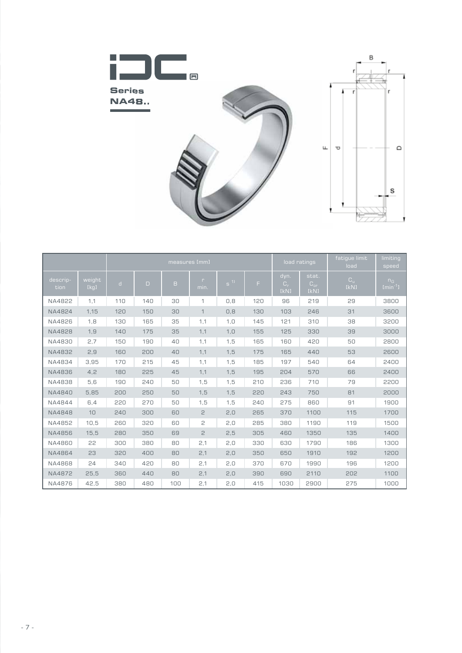

|                  |                | measures [mm] |        |     |                  |          | load ratings |                             | fatique limit<br>load            | limiting<br>speed               |                              |
|------------------|----------------|---------------|--------|-----|------------------|----------|--------------|-----------------------------|----------------------------------|---------------------------------|------------------------------|
| descrip-<br>tion | weight<br>[kg] | $\mathsf{d}$  | $\Box$ | B   | $\Gamma$<br>min. | $S^{11}$ | F.           | dyn.<br>$C_{\rm r}$<br>[kN] | stat.<br>$C_{\text{or}}$<br>[kN] | $\mathbf{C}_\mathrm{u}$<br>[kN] | $n_G$<br>${\rm Imin}^{-1}$ ] |
| NA4822           | 1,1            | 110           | 140    | 30  | 1                | 0,8      | 120          | 96                          | 219                              | 29                              | 3800                         |
| NA4824           | 1,15           | 120           | 150    | 30  | 1                | 0,8      | 130          | 103                         | 246                              | 31                              | 3600                         |
| NA4826           | 1,8            | 130           | 165    | 35  | 1,1              | 1, 0     | 145          | 121                         | 310                              | 38                              | 3200                         |
| NA4828           | 1,9            | 140           | 175    | 35  | 1,1              | 1, 0     | 155          | 125                         | 330                              | 39                              | 3000                         |
| NA4830           | 2,7            | 150           | 190    | 40  | 1,1              | 1,5      | 165          | 160                         | 420                              | 50                              | 2800                         |
| NA4832           | 2,9            | 160           | 200    | 40  | 1,1              | 1,5      | 175          | 165                         | 440                              | 53                              | 2600                         |
| NA4834           | 3,95           | 170           | 215    | 45  | 1,1              | 1,5      | 185          | 197                         | 540                              | 64                              | 2400                         |
| NA4836           | 4,2            | 180           | 225    | 45  | 1,1              | 1,5      | 195          | 204                         | 570                              | 66                              | 2400                         |
| NA4838           | 5,6            | 190           | 240    | 50  | 1,5              | 1,5      | 210          | 236                         | 710                              | 79                              | 2200                         |
| NA4840           | 5,85           | 200           | 250    | 50  | 1,5              | 1,5      | 220          | 243                         | 750                              | 81                              | 2000                         |
| NA4844           | 6,4            | 220           | 270    | 50  | 1,5              | 1,5      | 240          | 275                         | 860                              | 91                              | 1900                         |
| <b>NA4848</b>    | 10             | 240           | 300    | 60  | 2                | 2,0      | 265          | 370                         | 1100                             | 115                             | 1700                         |
| NA4852           | 10,5           | 260           | 320    | 60  | 2                | 2,0      | 285          | 380                         | 1190                             | 119                             | 1500                         |
| NA4856           | 15,5           | 280           | 350    | 69  | 2                | 2,5      | 305          | 460                         | 1350                             | 135                             | 1400                         |
| NA4860           | 22             | 300           | 380    | 80  | 2,1              | 2,0      | 330          | 630                         | 1790                             | 186                             | 1300                         |
| NA4864           | 23             | 320           | 400    | 80  | 2,1              | 2,0      | 350          | 650                         | 1910                             | 192                             | 1200                         |
| NA4868           | 24             | 340           | 420    | 80  | 2,1              | 2,0      | 370          | 670                         | 1990                             | 196                             | 1200                         |
| NA4872           | 25,5           | 360           | 440    | 80  | 2,1              | 2,0      | 390          | 690                         | 2110                             | 202                             | 1100                         |
| NA4876           | 42,5           | 380           | 480    | 100 | 2,1              | 2,0      | 415          | 1030                        | 2900                             | 275                             | 1000                         |